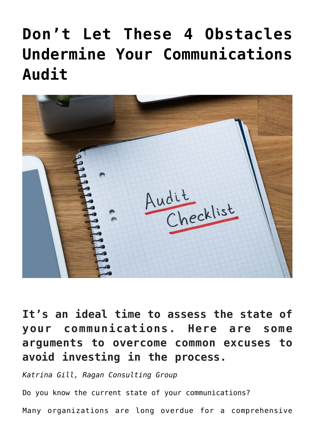## **[Don't Let These 4 Obstacles](https://www.commpro.biz/dont-let-these-4-obstacles-undermine-your-communications-audit/) [Undermine Your Communications](https://www.commpro.biz/dont-let-these-4-obstacles-undermine-your-communications-audit/) [Audit](https://www.commpro.biz/dont-let-these-4-obstacles-undermine-your-communications-audit/)**



**It's an ideal time to assess the state of your communications. Here are some arguments to overcome common excuses to avoid investing in the process.**

*Katrina Gill, Ragan Consulting Group*

Do you know the current state of your communications?

Many organizations are long overdue for a comprehensive